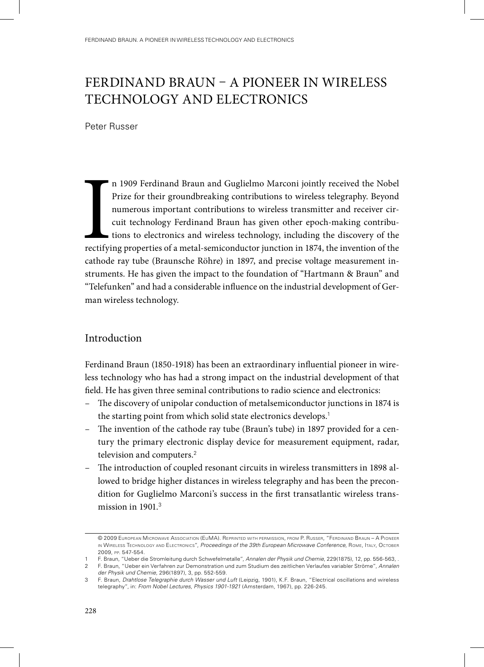# Ferdinand Braun – A pioneer in wireless technology and electronics

Peter Russer

**International** n 1909 Ferdinand Braun and Guglielmo Marconi jointly received the Nobel Prize for their groundbreaking contributions to wireless telegraphy. Beyond numerous important contributions to wireless transmitter and receiver circuit technology Ferdinand Braun has given other epoch-making contributions to electronics and wireless technology, including the discovery of the rectifying properties of a metal-semiconductor junction in 1874, the invention of the cathode ray tube (Braunsche Röhre) in 1897, and precise voltage measurement instruments. He has given the impact to the foundation of "Hartmann & Braun" and "Telefunken" and had a considerable influence on the industrial development of German wireless technology.

# Introduction

Ferdinand Braun (1850-1918) has been an extraordinary influential pioneer in wireless technology who has had a strong impact on the industrial development of that field. He has given three seminal contributions to radio science and electronics:

- The discovery of unipolar conduction of metalsemiconductor junctions in 1874 is the starting point from which solid state electronics develops.<sup>1</sup>
- The invention of the cathode ray tube (Braun's tube) in 1897 provided for a century the primary electronic display device for measurement equipment, radar, television and computers.<sup>2</sup>
- The introduction of coupled resonant circuits in wireless transmitters in 1898 allowed to bridge higher distances in wireless telegraphy and has been the precondition for Guglielmo Marconi's success in the first transatlantic wireless transmission in 1901.<sup>3</sup>

<sup>© 2009</sup> European Microwave Association (EuMA). Reprinted with permission, from P. Russer, "Ferdinand Braun – A Pioneer in Wireless Technology and Electronics", *Proceedings of the 39th European Microwave Conference*, Rome, Italy, October 2009, pp. 547-554.

<sup>1</sup> F. Braun, "Ueber die Stromleitung durch Schwefelmetalle", *Annalen der Physik und Chemie*, 229(1875), 12, pp. 556-563, .

<sup>2</sup> F. Braun, "Ueber ein Verfahren zur Demonstration und zum Studium des zeitlichen Verlaufes variabler Ströme", *Annalen* 

*der Physik und Chemie*, 296(1897), 3, pp. 552-559.

<sup>3</sup> F. Braun, *Drahtlose Telegraphie durch Wasser und Luft* (Leipzig, 1901), K.F. Braun, "Electrical oscillations and wireless telegraphy", in: *From Nobel Lectures, Physics 1901-1921* (Amsterdam, 1967), pp. 226-245.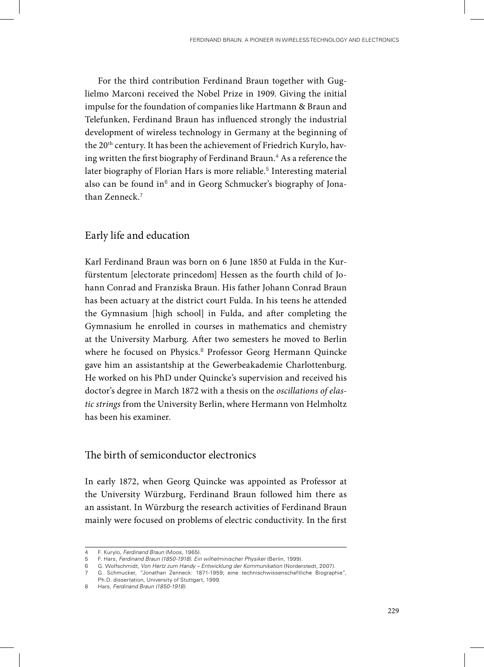For the third contribution Ferdinand Braun together with Guglielmo Marconi received the Nobel Prize in 1909. Giving the initial impulse for the foundation of companies like Hartmann & Braun and Telefunken, Ferdinand Braun has influenced strongly the industrial development of wireless technology in Germany at the beginning of the 20<sup>th</sup> century. It has been the achievement of Friedrich Kurylo, having written the first biography of Ferdinand Braun. $^4$  As a reference the later biography of Florian Hars is more reliable.<sup>5</sup> Interesting material also can be found in<sup>6</sup> and in Georg Schmucker's biography of Jonathan Zenneck.<sup>7</sup>

## Early life and education

Karl Ferdinand Braun was born on 6 June 1850 at Fulda in the Kurfürstentum [electorate princedom] Hessen as the fourth child of Johann Conrad and Franziska Braun. His father Johann Conrad Braun has been actuary at the district court Fulda. In his teens he attended the Gymnasium [high school] in Fulda, and after completing the Gymnasium he enrolled in courses in mathematics and chemistry at the University Marburg. After two semesters he moved to Berlin where he focused on Physics.<sup>8</sup> Professor Georg Hermann Quincke gave him an assistantship at the Gewerbeakademie Charlottenburg. He worked on his PhD under Quincke's supervision and received his doctor's degree in March 1872 with a thesis on the *oscillations of elastic strings* from the University Berlin, where Hermann von Helmholtz has been his examiner.

## The birth of semiconductor electronics

In early 1872, when Georg Quincke was appointed as Professor at the University Würzburg, Ferdinand Braun followed him there as an assistant. In Würzburg the research activities of Ferdinand Braun mainly were focused on problems of electric conductivity. In the first

<sup>4</sup> F. Kurylo, *Ferdinand Braun* (Moos, 1965).

<sup>5</sup> F. Hars, *Ferdinand Braun (1850-1918). Ein wilhelminischer Physiker* (Berlin, 1999).

<sup>6</sup> G. Wolfschmidt, *Von Hertz zum Handy – Entwicklung der Kommunikation* (Norderstedt, 2007).

<sup>7</sup> G. Schmucker, "Jonathan Zenneck: 1871-1959; eine technischwissenschaftliche Biographie", Ph.D. dissertation, University of Stuttgart, 1999.

<sup>8</sup> Hars, *Ferdinand Braun (1850-1918)*.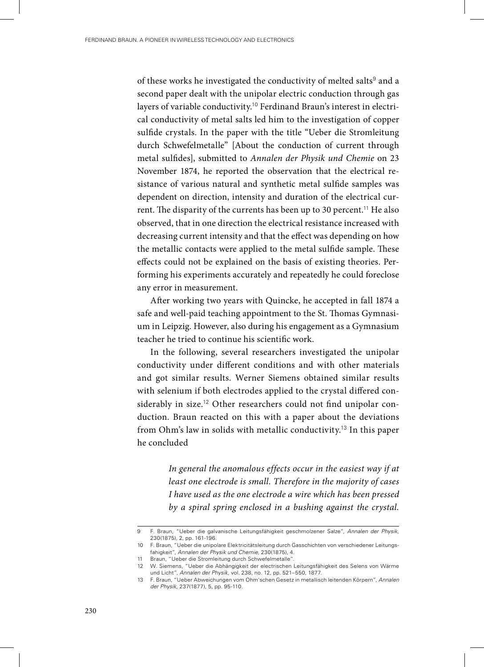of these works he investigated the conductivity of melted salts $^{\rm 9}$  and a second paper dealt with the unipolar electric conduction through gas layers of variable conductivity.<sup>10</sup> Ferdinand Braun's interest in electrical conductivity of metal salts led him to the investigation of copper sulfide crystals. In the paper with the title "Ueber die Stromleitung durch Schwefelmetalle" [About the conduction of current through metal sulfides], submitted to *Annalen der Physik und Chemie* on 23 November 1874, he reported the observation that the electrical resistance of various natural and synthetic metal sulfide samples was dependent on direction, intensity and duration of the electrical current. The disparity of the currents has been up to 30 percent.<sup>11</sup> He also observed, that in one direction the electrical resistance increased with decreasing current intensity and that the effect was depending on how the metallic contacts were applied to the metal sulfide sample. These effects could not be explained on the basis of existing theories. Performing his experiments accurately and repeatedly he could foreclose any error in measurement.

After working two years with Quincke, he accepted in fall 1874 a safe and well-paid teaching appointment to the St. Thomas Gymnasium in Leipzig. However, also during his engagement as a Gymnasium teacher he tried to continue his scientific work.

In the following, several researchers investigated the unipolar conductivity under different conditions and with other materials and got similar results. Werner Siemens obtained similar results with selenium if both electrodes applied to the crystal differed considerably in size.<sup>12</sup> Other researchers could not find unipolar conduction. Braun reacted on this with a paper about the deviations from Ohm's law in solids with metallic conductivity.<sup>13</sup> In this paper he concluded

> *In general the anomalous effects occur in the easiest way if at least one electrode is small. Therefore in the majority of cases I have used as the one electrode a wire which has been pressed by a spiral spring enclosed in a bushing against the crystal.*

<sup>9</sup> F. Braun, "Ueber die galvanische Leitungsfähigkeit geschmolzener Salze", *Annalen der Physik*, 230(1875), 2, pp. 161-196.

<sup>10</sup> F. Braun, "Ueber die unipolare Elektricitätsleitung durch Gasschichten von verschiedener Leitungsfahigkeit", *Annalen der Physik und Chemie*, 230(1875), 4.

<sup>11</sup> Braun, "Ueber die Stromleitung durch Schwefelmetalle".

<sup>12</sup> W. Siemens, "Ueber die Abhängigkeit der electrischen Leitungsfähigkeit des Selens von Wärme und Licht", *Annalen der Physik*, vol. 238, no. 12, pp. 521–550, 1877.

<sup>13</sup> F. Braun, "Ueber Abweichungen vom Ohm'schen Gesetz in metallisch leitenden Körpern", *Annalen der Physik*, 237(1877), 5, pp. 95-110.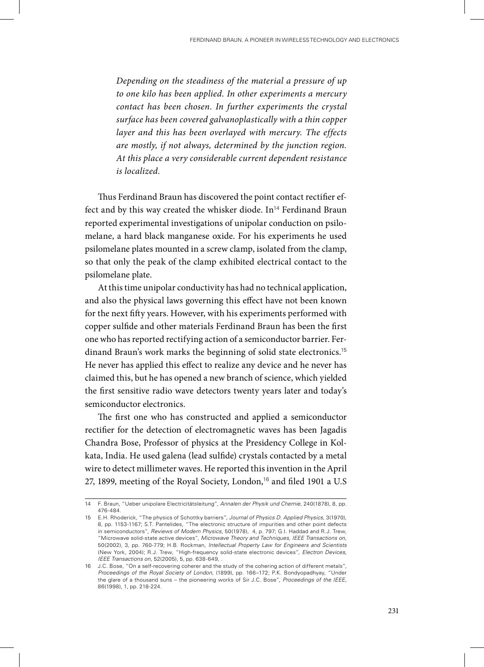*Depending on the steadiness of the material a pressure of up to one kilo has been applied. In other experiments a mercury contact has been chosen. In further experiments the crystal surface has been covered galvanoplastically with a thin copper layer and this has been overlayed with mercury. The effects are mostly, if not always, determined by the junction region. At this place a very considerable current dependent resistance is localized.*

Thus Ferdinand Braun has discovered the point contact rectifier effect and by this way created the whisker diode.  $In^{14}$  Ferdinand Braun reported experimental investigations of unipolar conduction on psilomelane, a hard black manganese oxide. For his experiments he used psilomelane plates mounted in a screw clamp, isolated from the clamp, so that only the peak of the clamp exhibited electrical contact to the psilomelane plate.

At this time unipolar conductivity has had no technical application, and also the physical laws governing this effect have not been known for the next fifty years. However, with his experiments performed with copper sulfide and other materials Ferdinand Braun has been the first one who has reported rectifying action of a semiconductor barrier. Ferdinand Braun's work marks the beginning of solid state electronics.<sup>15</sup> He never has applied this effect to realize any device and he never has claimed this, but he has opened a new branch of science, which yielded the first sensitive radio wave detectors twenty years later and today's semiconductor electronics.

The first one who has constructed and applied a semiconductor rectifier for the detection of electromagnetic waves has been Jagadis Chandra Bose, Professor of physics at the Presidency College in Kolkata, India. He used galena (lead sulfide) crystals contacted by a metal wire to detect millimeter waves. He reported this invention in the April 27, 1899, meeting of the Royal Society, London,<sup>16</sup> and filed 1901 a U.S

<sup>14</sup> F. Braun, "Ueber unipolare Electricitätsleitung", *Annalen der Physik und Chemie*, 240(1878), 8, pp. 476-484.

<sup>15</sup> E.H. Rhoderick, "The physics of Schottky barriers", *Journal of Physics D. Applied Physics*, 3(1970), 8, pp. 1153-1167; S.T. Pantelides, "The electronic structure of impurities and other point defects in semiconductors", *Reviews of Modern Physics*, 50(1978), 4, p. 797; G.I. Haddad and R.J. Trew, "Microwave solid-state active devices", *Microwave Theory and Techniques, IEEE Transactions on*, 50(2002), 3, pp. 760-779; H.B. Rockman, *Intellectual Property Law for Engineers and Scientists* (New York, 2004); R.J. Trew, "High-frequency solid-state electronic devices", *Electron Devices, IEEE Transactions on*, 52(2005), 5, pp. 638-649, .

<sup>16</sup> J.C. Bose, "On a self-recovering coherer and the study of the cohering action of different metals", *Proceedings of the Royal Society of London*, (1899), pp. 166–172; P.K. Bondyopadhyay, "Under the glare of a thousand suns – the pioneering works of Sir J.C. Bose", *Proceedings of the IEEE*, 86(1998), 1, pp. 218-224.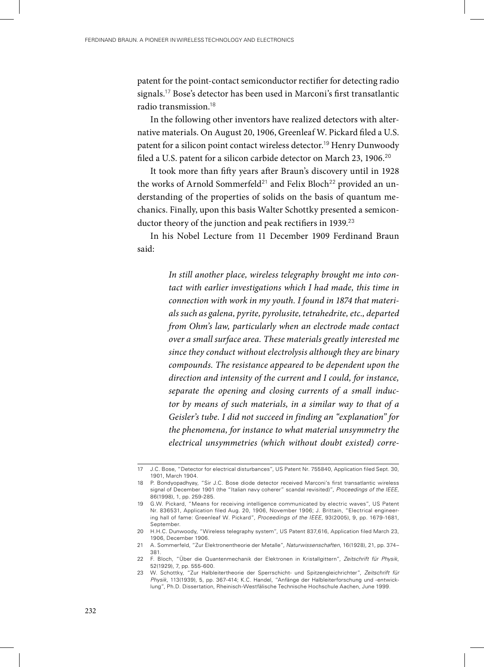patent for the point-contact semiconductor rectifier for detecting radio signals.<sup>17</sup> Bose's detector has been used in Marconi's first transatlantic radio transmission.<sup>18</sup>

In the following other inventors have realized detectors with alternative materials. On August 20, 1906, Greenleaf W. Pickard filed a U.S. patent for a silicon point contact wireless detector.<sup>19</sup> Henry Dunwoody filed a U.S. patent for a silicon carbide detector on March 23, 1906.<sup>20</sup>

It took more than fifty years after Braun's discovery until in 1928 the works of Arnold Sommerfeld<sup>21</sup> and Felix Bloch<sup>22</sup> provided an understanding of the properties of solids on the basis of quantum mechanics. Finally, upon this basis Walter Schottky presented a semiconductor theory of the junction and peak rectifiers in 1939.<sup>23</sup>

In his Nobel Lecture from 11 December 1909 Ferdinand Braun said:

> *In still another place, wireless telegraphy brought me into contact with earlier investigations which I had made, this time in connection with work in my youth. I found in 1874 that materials such as galena, pyrite, pyrolusite, tetrahedrite, etc., departed from Ohm's law, particularly when an electrode made contact over a small surface area. These materials greatly interested me since they conduct without electrolysis although they are binary compounds. The resistance appeared to be dependent upon the direction and intensity of the current and I could, for instance, separate the opening and closing currents of a small inductor by means of such materials, in a similar way to that of a Geisler's tube. I did not succeed in finding an "explanation" for the phenomena, for instance to what material unsymmetry the electrical unsymmetries (which without doubt existed) corre-*

<sup>17</sup> J.C. Bose, "Detector for electrical disturbances", US Patent Nr. 755840, Application filed Sept. 30, 1901, March 1904.

<sup>18</sup> P. Bondyopadhyay, "Sir J.C. Bose diode detector received Marconi's first transatlantic wireless signal of December 1901 (the "Italian navy coherer" scandal revisited)", *Proceedings of the IEEE*, 86(1998), 1, pp. 259-285.

<sup>19</sup> G.W. Pickard, "Means for receiving intelligence communicated by electric waves", US Patent Nr. 836531, Application filed Aug. 20, 1906, November 1906; J. Brittain, "Electrical engineering hall of fame: Greenleaf W. Pickard", *Proceedings of the IEEE*, 93(2005), 9, pp. 1679-1681, September.

<sup>20</sup> H.H.C. Dunwoody, "Wireless telegraphy system", US Patent 837,616, Application filed March 23, 1906, December 1906.

<sup>21</sup> A. Sommerfeld, "Zur Elektronentheorie der Metalle", *Naturwissenschaften*, 16(1928), 21, pp. 374– 381.

<sup>22</sup> F. Bloch, "Über die Quantenmechanik der Elektronen in Kristallgittern", *Zeitschrift für Physik*, 52(1929), 7, pp. 555-600.

<sup>23</sup> W. Schottky, "Zur Halbleitertheorie der Sperrschicht- und Spitzengleichrichter", *Zeitschrift für Physik*, 113(1939), 5, pp. 367-414; K.C. Handel, "Anfänge der Halbleiterforschung und -entwicklung", Ph.D. Dissertation, Rheinisch-Westfälische Technische Hochschule Aachen, June 1999.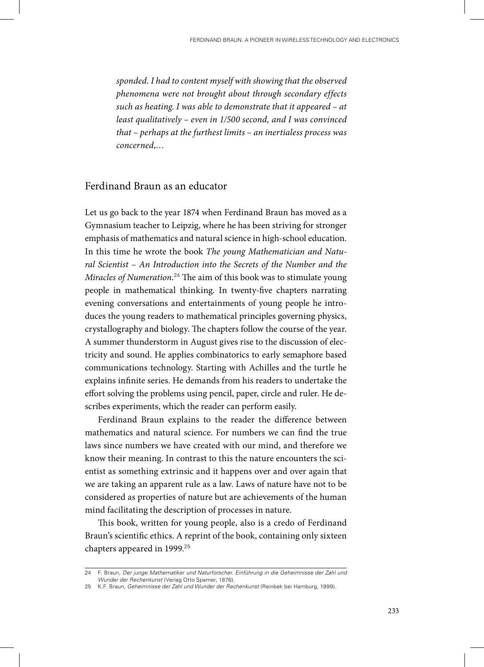*sponded. I had to content myself with showing that the observed phenomena were not brought about through secondary effects such as heating. I was able to demonstrate that it appeared – at least qualitatively – even in 1/500 second, and I was convinced that – perhaps at the furthest limits – an inertialess process was concerned,…*

# Ferdinand Braun as an educator

Let us go back to the year 1874 when Ferdinand Braun has moved as a Gymnasium teacher to Leipzig, where he has been striving for stronger emphasis of mathematics and natural science in high-school education. In this time he wrote the book *The young Mathematician and Natural Scientist – An Introduction into the Secrets of the Number and the Miracles of Numeration*. <sup>24</sup> The aim of this book was to stimulate young people in mathematical thinking. In twenty-five chapters narrating evening conversations and entertainments of young people he introduces the young readers to mathematical principles governing physics, crystallography and biology. The chapters follow the course of the year. A summer thunderstorm in August gives rise to the discussion of electricity and sound. He applies combinatorics to early semaphore based communications technology. Starting with Achilles and the turtle he explains infinite series. He demands from his readers to undertake the effort solving the problems using pencil, paper, circle and ruler. He describes experiments, which the reader can perform easily.

Ferdinand Braun explains to the reader the difference between mathematics and natural science. For numbers we can find the true laws since numbers we have created with our mind, and therefore we know their meaning. In contrast to this the nature encounters the scientist as something extrinsic and it happens over and over again that we are taking an apparent rule as a law. Laws of nature have not to be considered as properties of nature but are achievements of the human mind facilitating the description of processes in nature.

This book, written for young people, also is a credo of Ferdinand Braun's scientific ethics. A reprint of the book, containing only sixteen chapters appeared in 1999.<sup>25</sup>

<sup>24</sup> F. Braun, *Der junge Mathematiker und Naturforscher. Einführung in die Geheimnisse der Zahl und Wunder der Rechenkunst* (Verlag Otto Spamer, 1876).

<sup>25</sup> K.F. Braun, *Geheimnisse der Zahl und Wunder der Rechenkunst* (Reinbek bei Hamburg, 1999).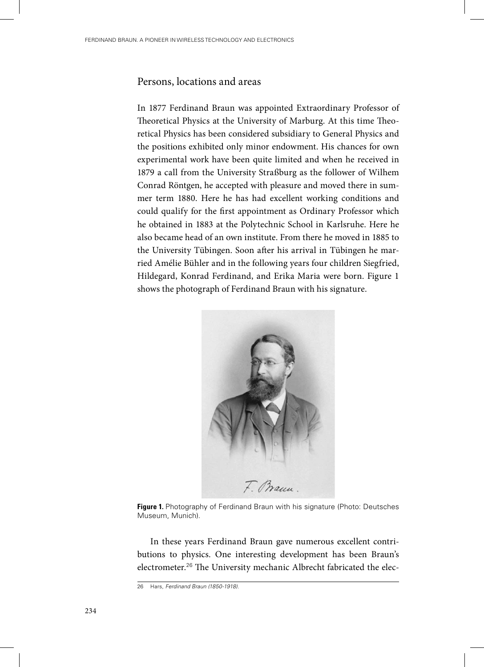## Persons, locations and areas

In 1877 Ferdinand Braun was appointed Extraordinary Professor of Theoretical Physics at the University of Marburg. At this time Theoretical Physics has been considered subsidiary to General Physics and the positions exhibited only minor endowment. His chances for own experimental work have been quite limited and when he received in 1879 a call from the University Straßburg as the follower of Wilhem Conrad Röntgen, he accepted with pleasure and moved there in summer term 1880. Here he has had excellent working conditions and could qualify for the first appointment as Ordinary Professor which he obtained in 1883 at the Polytechnic School in Karlsruhe. Here he also became head of an own institute. From there he moved in 1885 to the University Tübingen. Soon after his arrival in Tübingen he married Amélie Bühler and in the following years four children Siegfried, Hildegard, Konrad Ferdinand, and Erika Maria were born. Figure 1 shows the photograph of Ferdinand Braun with his signature.



**Figure 1.** Photography of Ferdinand Braun with his signature (Photo: Deutsches Museum, Munich).

In these years Ferdinand Braun gave numerous excellent contributions to physics. One interesting development has been Braun's electrometer.<sup>26</sup> The University mechanic Albrecht fabricated the elec-

<sup>26</sup> Hars, *Ferdinand Braun (1850-1918)*.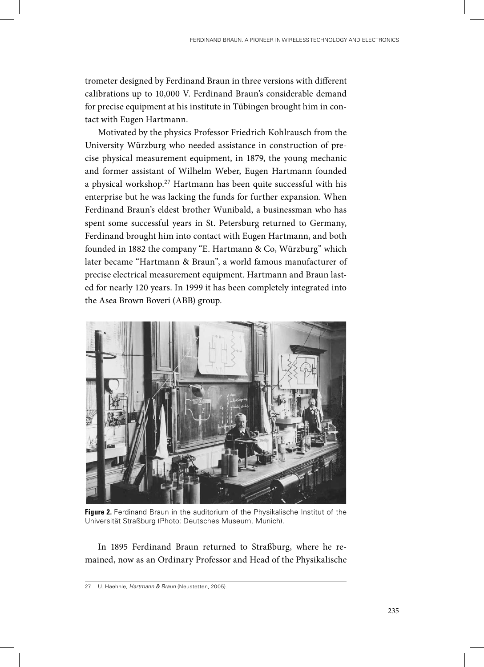trometer designed by Ferdinand Braun in three versions with different calibrations up to 10,000 V. Ferdinand Braun's considerable demand for precise equipment at his institute in Tübingen brought him in contact with Eugen Hartmann.

Motivated by the physics Professor Friedrich Kohlrausch from the University Würzburg who needed assistance in construction of precise physical measurement equipment, in 1879, the young mechanic and former assistant of Wilhelm Weber, Eugen Hartmann founded a physical workshop.<sup>27</sup> Hartmann has been quite successful with his enterprise but he was lacking the funds for further expansion. When Ferdinand Braun's eldest brother Wunibald, a businessman who has spent some successful years in St. Petersburg returned to Germany, Ferdinand brought him into contact with Eugen Hartmann, and both founded in 1882 the company "E. Hartmann & Co, Würzburg" which later became "Hartmann & Braun", a world famous manufacturer of precise electrical measurement equipment. Hartmann and Braun lasted for nearly 120 years. In 1999 it has been completely integrated into the Asea Brown Boveri (ABB) group.



**Figure 2.** Ferdinand Braun in the auditorium of the Physikalische Institut of the Universität Straßburg (Photo: Deutsches Museum, Munich).

In 1895 Ferdinand Braun returned to Straßburg, where he remained, now as an Ordinary Professor and Head of the Physikalische

<sup>27</sup> U. Haehnle, *Hartmann & Braun* (Neustetten, 2005).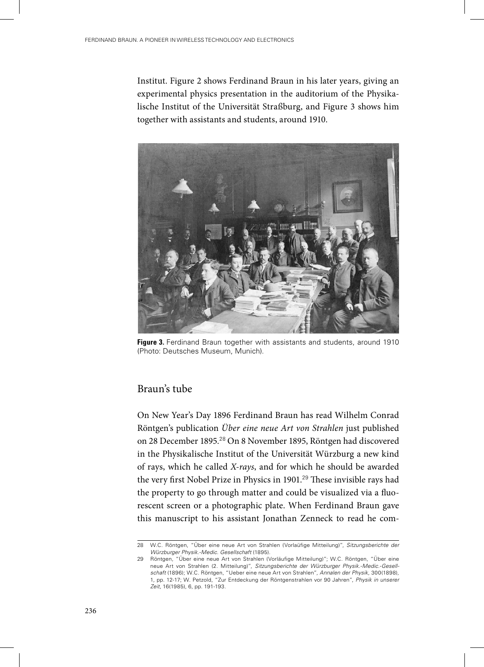Institut. Figure 2 shows Ferdinand Braun in his later years, giving an experimental physics presentation in the auditorium of the Physikalische Institut of the Universität Straßburg, and Figure 3 shows him together with assistants and students, around 1910.



**Figure 3.** Ferdinand Braun together with assistants and students, around 1910 (Photo: Deutsches Museum, Munich).

# Braun's tube

On New Year's Day 1896 Ferdinand Braun has read Wilhelm Conrad Röntgen's publication *Über eine neue Art von Strahlen* just published on 28 December 1895.<sup>28</sup> On 8 November 1895, Röntgen had discovered in the Physikalische Institut of the Universität Würzburg a new kind of rays, which he called *X-rays*, and for which he should be awarded the very first Nobel Prize in Physics in 1901.<sup>29</sup> These invisible rays had the property to go through matter and could be visualized via a fluorescent screen or a photographic plate. When Ferdinand Braun gave this manuscript to his assistant Jonathan Zenneck to read he com-

<sup>28</sup> W.C. Röntgen, "Über eine neue Art von Strahlen (Vorlaüfige Mitteilung)", *Sitzungsberichte der Würzburger Physik.-Medic. Gesellschaft* (1895).

<sup>29</sup> Röntgen, "Über eine neue Art von Strahlen (Vorläufige Mitteilung)"; W.C. Röntgen, "Über eine neue Art von Strahlen (2. Mitteilung)", *Sitzungsberichte der Würzburger Physik.-Medic.-Gesellschaft* (1896); W.C. Röntgen, "Ueber eine neue Art von Strahlen", *Annalen der Physik*, 300(1898), 1, pp. 12-17; W. Petzold, "Zur Entdeckung der Röntgenstrahlen vor 90 Jahren", *Physik in unserer Zeit*, 16(1985), 6, pp. 191-193.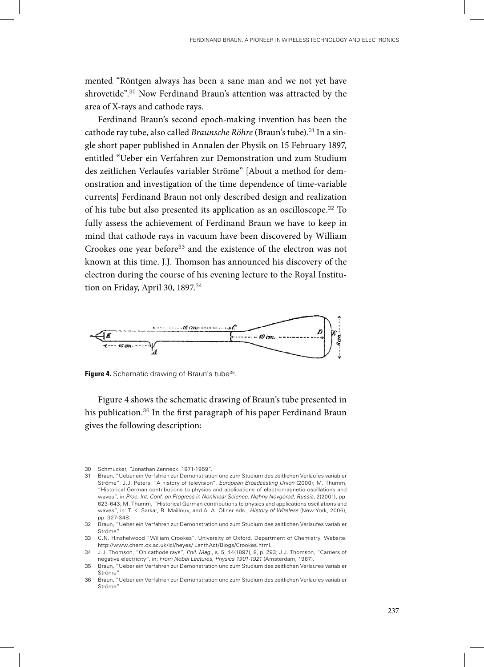mented "Röntgen always has been a sane man and we not yet have shrovetide".<sup>30</sup> Now Ferdinand Braun's attention was attracted by the area of X-rays and cathode rays.

Ferdinand Braun's second epoch-making invention has been the cathode ray tube, also called *Braunsche Röhre* (Braun's tube).<sup>31</sup> In a single short paper published in Annalen der Physik on 15 February 1897, entitled "Ueber ein Verfahren zur Demonstration und zum Studium des zeitlichen Verlaufes variabler Ströme" [About a method for demonstration and investigation of the time dependence of time-variable currents] Ferdinand Braun not only described design and realization of his tube but also presented its application as an oscilloscope.<sup>32</sup> To fully assess the achievement of Ferdinand Braun we have to keep in mind that cathode rays in vacuum have been discovered by William Crookes one year before<sup>33</sup> and the existence of the electron was not known at this time. J.J. Thomson has announced his discovery of the electron during the course of his evening lecture to the Royal Institution on Friday, April 30, 1897.<sup>34</sup>



Figure 4. Schematic drawing of Braun's tube<sup>35</sup>.

Figure 4 shows the schematic drawing of Braun's tube presented in his publication.<sup>36</sup> In the first paragraph of his paper Ferdinand Braun gives the following description:

<sup>30</sup> Schmucker, "Jonathan Zenneck: 1871-1959".

<sup>31</sup> Braun, "Ueber ein Verfahren zur Demonstration und zum Studium des zeitlichen Verlaufes variabler Ströme"; J.J. Peters, "A history of television", *European Broadcasting Union* (2000); M. Thumm, "Historical German contributions to physics and applications of electromagnetic oscillations and waves", in *Proc. Int. Conf. on Progress in Nonlinear Science, Nizhny Novgorod, Russia*, 2(2001), pp. 623-643; M. Thumm, "Historical German contributions to physics and applications oscillations and waves", in: T. K. Sarkar, R. Mailloux, and A. A. Oliner eds., *History of Wireless* (New York, 2006), pp. 327-348.

<sup>32</sup> Braun, "Ueber ein Verfahren zur Demonstration und zum Studium des zeitlichen Verlaufes variabler Ströme".

<sup>33</sup> C.N. Hinshelwood "William Crookes", University of Oxford, Department of Chemistry, Website. http://www.chem.ox.ac.uk/icl/heyes/ LanthAct/Biogs/Crookes.html.

<sup>34</sup> J.J. Thomson, "On cathode rays", *Phil. Mag.*, s. 5, 44(1897), 8, p. 293; J.J. Thomson, "Carriers of negative electricity", in: *From Nobel Lectures, Physics 1901-1921* (Amsterdam, 1967).

<sup>35</sup> Braun, "Ueber ein Verfahren zur Demonstration und zum Studium des zeitlichen Verlaufes variabler Ströme".

<sup>36</sup> Braun, "Ueber ein Verfahren zur Demonstration und zum Studium des zeitlichen Verlaufes variabler Ströme".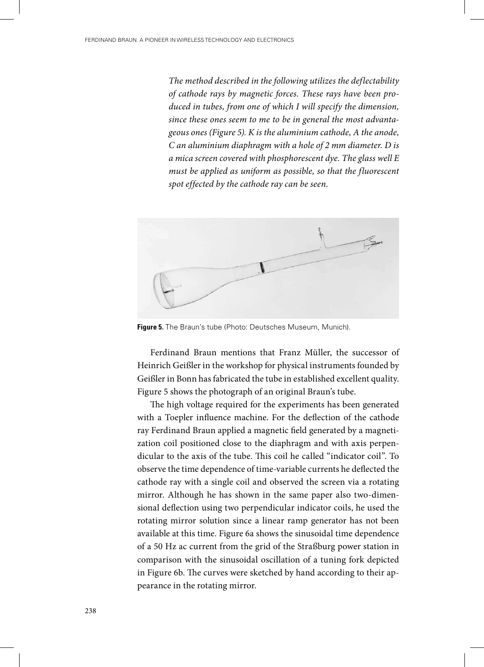*The method described in the following utilizes the deflectability of cathode rays by magnetic forces. These rays have been produced in tubes, from one of which I will specify the dimension, since these ones seem to me to be in general the most advantageous ones (Figure 5). K is the aluminium cathode, A the anode, C an aluminium diaphragm with a hole of 2 mm diameter. D is a mica screen covered with phosphorescent dye. The glass well E must be applied as uniform as possible, so that the fluorescent spot effected by the cathode ray can be seen.* 



**Figure 5.** The Braun's tube (Photo: Deutsches Museum, Munich).

Ferdinand Braun mentions that Franz Müller, the successor of Heinrich Geißler in the workshop for physical instruments founded by Geißler in Bonn has fabricated the tube in established excellent quality. Figure 5 shows the photograph of an original Braun's tube.

The high voltage required for the experiments has been generated with a Toepler influence machine. For the deflection of the cathode ray Ferdinand Braun applied a magnetic field generated by a magnetization coil positioned close to the diaphragm and with axis perpendicular to the axis of the tube. This coil he called "indicator coil". To observe the time dependence of time-variable currents he deflected the cathode ray with a single coil and observed the screen via a rotating mirror. Although he has shown in the same paper also two-dimensional deflection using two perpendicular indicator coils, he used the rotating mirror solution since a linear ramp generator has not been available at this time. Figure 6a shows the sinusoidal time dependence of a 50 Hz ac current from the grid of the Straßburg power station in comparison with the sinusoidal oscillation of a tuning fork depicted in Figure 6b. The curves were sketched by hand according to their appearance in the rotating mirror.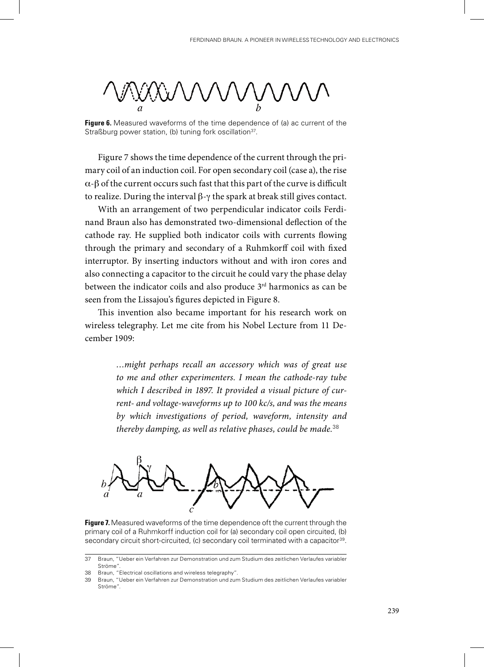**Figure 6.** Measured waveforms of the time dependence of (a) ac current of the Straßburg power station, (b) tuning fork oscillation<sup>37</sup>.

Figure 7 shows the time dependence of the current through the primary coil of an induction coil. For open secondary coil (case a), the rise α-β of the current occurs such fast that this part of the curve is difficult to realize. During the interval β-γ the spark at break still gives contact.

With an arrangement of two perpendicular indicator coils Ferdinand Braun also has demonstrated two-dimensional deflection of the cathode ray. He supplied both indicator coils with currents flowing through the primary and secondary of a Ruhmkorff coil with fixed interruptor. By inserting inductors without and with iron cores and also connecting a capacitor to the circuit he could vary the phase delay between the indicator coils and also produce  $3<sup>rd</sup>$  harmonics as can be seen from the Lissajou's figures depicted in Figure 8.

This invention also became important for his research work on wireless telegraphy. Let me cite from his Nobel Lecture from 11 December 1909:

> *…might perhaps recall an accessory which was of great use to me and other experimenters. I mean the cathode-ray tube which I described in 1897. It provided a visual picture of current- and voltage-waveforms up to 100 kc/s, and was the means by which investigations of period, waveform, intensity and thereby damping, as well as relative phases, could be made.*<sup>38</sup>



**Figure 7.** Measured waveforms of the time dependence oft the current through the primary coil of a Ruhmkorff induction coil for (a) secondary coil open circuited, (b) secondary circuit short-circuited, (c) secondary coil terminated with a capacitor<sup>39</sup>.

<sup>37</sup> Braun, "Ueber ein Verfahren zur Demonstration und zum Studium des zeitlichen Verlaufes variabler Ströme".

<sup>38</sup> Braun, "Electrical oscillations and wireless telegraphy".

<sup>39</sup> Braun, "Ueber ein Verfahren zur Demonstration und zum Studium des zeitlichen Verlaufes variabler Ströme".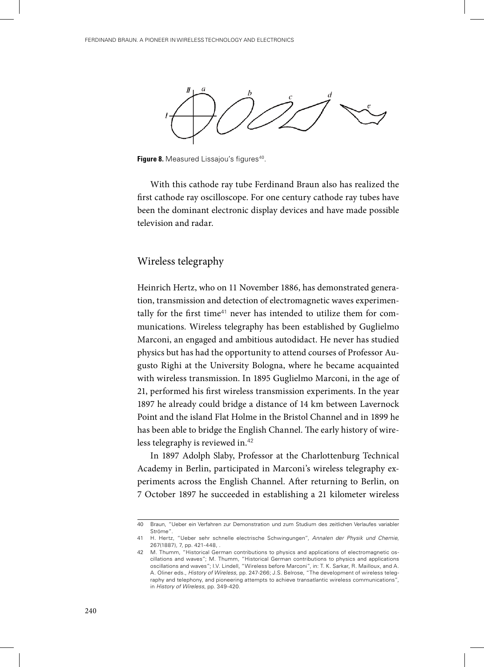

Figure 8. Measured Lissajou's figures<sup>40</sup>.

With this cathode ray tube Ferdinand Braun also has realized the first cathode ray oscilloscope. For one century cathode ray tubes have been the dominant electronic display devices and have made possible television and radar.

## Wireless telegraphy

Heinrich Hertz, who on 11 November 1886, has demonstrated generation, transmission and detection of electromagnetic waves experimentally for the first time<sup>41</sup> never has intended to utilize them for communications. Wireless telegraphy has been established by Guglielmo Marconi, an engaged and ambitious autodidact. He never has studied physics but has had the opportunity to attend courses of Professor Augusto Righi at the University Bologna, where he became acquainted with wireless transmission. In 1895 Guglielmo Marconi, in the age of 21, performed his first wireless transmission experiments. In the year 1897 he already could bridge a distance of 14 km between Lavernock Point and the island Flat Holme in the Bristol Channel and in 1899 he has been able to bridge the English Channel. The early history of wireless telegraphy is reviewed in.<sup>42</sup>

In 1897 Adolph Slaby, Professor at the Charlottenburg Technical Academy in Berlin, participated in Marconi's wireless telegraphy experiments across the English Channel. After returning to Berlin, on 7 October 1897 he succeeded in establishing a 21 kilometer wireless

<sup>40</sup> Braun, "Ueber ein Verfahren zur Demonstration und zum Studium des zeitlichen Verlaufes variabler Ströme".

<sup>41</sup> H. Hertz, "Ueber sehr schnelle electrische Schwingungen", *Annalen der Physik und Chemie*, 267(1887), 7, pp. 421-448, .

<sup>42</sup> M. Thumm, "Historical German contributions to physics and applications of electromagnetic oscillations and waves"; M. Thumm, "Historical German contributions to physics and applications oscillations and waves"; I.V. Lindell, "Wireless before Marconi", in: T. K. Sarkar, R. Mailloux, and A. A. Oliner eds., *History of Wireless*, pp. 247-266; J.S. Belrose, "The development of wireless telegraphy and telephony, and pioneering attempts to achieve transatlantic wireless communications", in *History of Wireless*, pp. 349-420.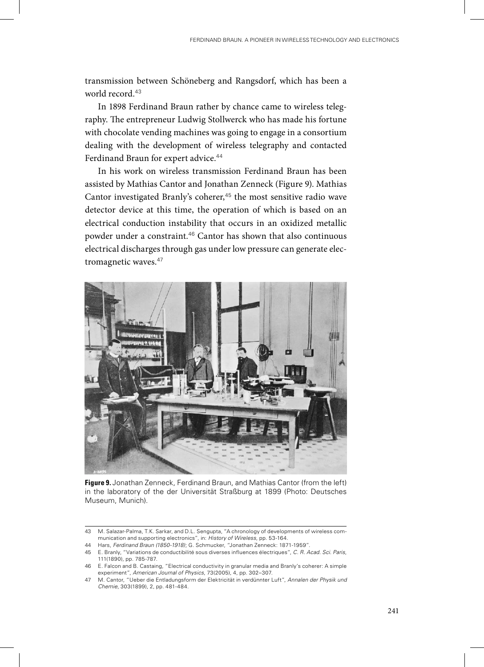transmission between Schöneberg and Rangsdorf, which has been a world record.<sup>43</sup>

In 1898 Ferdinand Braun rather by chance came to wireless telegraphy. The entrepreneur Ludwig Stollwerck who has made his fortune with chocolate vending machines was going to engage in a consortium dealing with the development of wireless telegraphy and contacted Ferdinand Braun for expert advice.<sup>44</sup>

In his work on wireless transmission Ferdinand Braun has been assisted by Mathias Cantor and Jonathan Zenneck (Figure 9). Mathias Cantor investigated Branly's coherer,<sup>45</sup> the most sensitive radio wave detector device at this time, the operation of which is based on an electrical conduction instability that occurs in an oxidized metallic powder under a constraint.<sup>46</sup> Cantor has shown that also continuous electrical discharges through gas under low pressure can generate electromagnetic waves.<sup>47</sup>



**Figure 9.** Jonathan Zenneck, Ferdinand Braun, and Mathias Cantor (from the left) in the laboratory of the der Universität Straßburg at 1899 (Photo: Deutsches Museum, Munich).

<sup>43</sup> M. Salazar-Palma, T.K. Sarkar, and D.L. Sengupta, "A chronology of developments of wireless communication and supporting electronics", in: *History of Wireless*, pp. 53-164.

<sup>44</sup> Hars, *Ferdinand Braun (1850-1918)*; G. Schmucker, "Jonathan Zenneck: 1871-1959".

<sup>45</sup> E. Branly, "Variations de conductibilité sous diverses influences électriques", *C. R. Acad. Sci. Paris*, 111(1890), pp. 785-787.

<sup>46</sup> E. Falcon and B. Castaing, "Electrical conductivity in granular media and Branly's coherer: A simple experiment", *American Journal of Physics*, 73(2005), 4, pp. 302–307.

<sup>47</sup> M. Cantor, "Ueber die Entladungsform der Elektricität in verdünnter Luft", *Annalen der Physik und Chemie*, 303(1899), 2, pp. 481-484.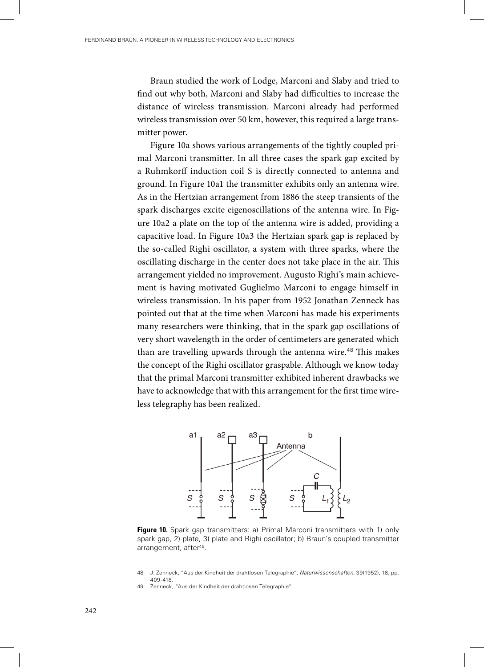Braun studied the work of Lodge, Marconi and Slaby and tried to find out why both, Marconi and Slaby had difficulties to increase the distance of wireless transmission. Marconi already had performed wireless transmission over 50 km, however, this required a large transmitter power.

Figure 10a shows various arrangements of the tightly coupled primal Marconi transmitter. In all three cases the spark gap excited by a Ruhmkorff induction coil S is directly connected to antenna and ground. In Figure 10a1 the transmitter exhibits only an antenna wire. As in the Hertzian arrangement from 1886 the steep transients of the spark discharges excite eigenoscillations of the antenna wire. In Figure 10a2 a plate on the top of the antenna wire is added, providing a capacitive load. In Figure 10a3 the Hertzian spark gap is replaced by the so-called Righi oscillator, a system with three sparks, where the oscillating discharge in the center does not take place in the air. This arrangement yielded no improvement. Augusto Righi's main achievement is having motivated Guglielmo Marconi to engage himself in wireless transmission. In his paper from 1952 Jonathan Zenneck has pointed out that at the time when Marconi has made his experiments many researchers were thinking, that in the spark gap oscillations of very short wavelength in the order of centimeters are generated which than are travelling upwards through the antenna wire.<sup>48</sup> This makes the concept of the Righi oscillator graspable. Although we know today that the primal Marconi transmitter exhibited inherent drawbacks we have to acknowledge that with this arrangement for the first time wireless telegraphy has been realized.



Figure 10. Spark gap transmitters: a) Primal Marconi transmitters with 1) only spark gap, 2) plate, 3) plate and Righi oscillator; b) Braun's coupled transmitter arrangement, after<sup>49</sup>.

<sup>48</sup> J. Zenneck, "Aus der Kindheit der drahtlosen Telegraphie", *Naturwissenschaften*, 39(1952), 18, pp. 409-418.

<sup>49</sup> Zenneck, "Aus der Kindheit der drahtlosen Telegraphie".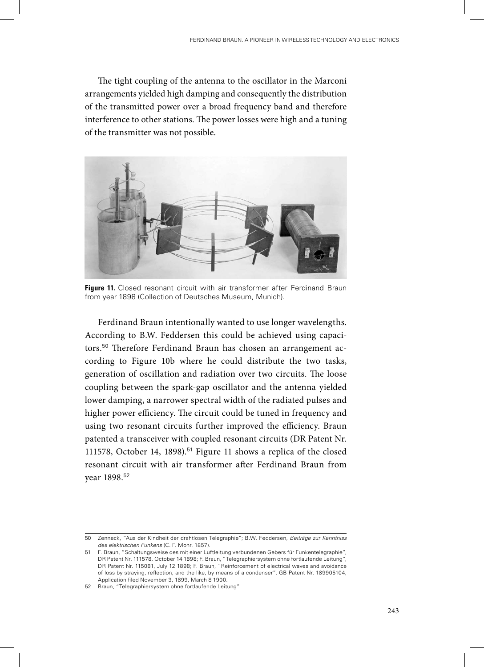The tight coupling of the antenna to the oscillator in the Marconi arrangements yielded high damping and consequently the distribution of the transmitted power over a broad frequency band and therefore interference to other stations. The power losses were high and a tuning of the transmitter was not possible.



**Figure 11.** Closed resonant circuit with air transformer after Ferdinand Braun from year 1898 (Collection of Deutsches Museum, Munich).

Ferdinand Braun intentionally wanted to use longer wavelengths. According to B.W. Feddersen this could be achieved using capacitors.50 Therefore Ferdinand Braun has chosen an arrangement according to Figure 10b where he could distribute the two tasks, generation of oscillation and radiation over two circuits. The loose coupling between the spark-gap oscillator and the antenna yielded lower damping, a narrower spectral width of the radiated pulses and higher power efficiency. The circuit could be tuned in frequency and using two resonant circuits further improved the efficiency. Braun patented a transceiver with coupled resonant circuits (DR Patent Nr. 111578, October 14, 1898).<sup>51</sup> Figure 11 shows a replica of the closed resonant circuit with air transformer after Ferdinand Braun from year 1898.<sup>52</sup>

<sup>50</sup> Zenneck, "Aus der Kindheit der drahtlosen Telegraphie"; B.W. Feddersen, *Beiträge zur Kenntniss des elektrischen Funkens* (C. F. Mohr, 1857).

<sup>51</sup> F. Braun, "Schaltungsweise des mit einer Luftleitung verbundenen Gebers für Funkentelegraphie", DR Patent Nr. 111578, October 14 1898; F. Braun, "Telegraphiersystem ohne fortlaufende Leitung", DR Patent Nr. 115081, July 12 1898; F. Braun, "Reinforcement of electrical waves and avoidance of loss by straying, reflection, and the like, by means of a condenser", GB Patent Nr. 189905104, Application filed November 3, 1899, March 8 1900.

<sup>52</sup> Braun, "Telegraphiersystem ohne fortlaufende Leitung".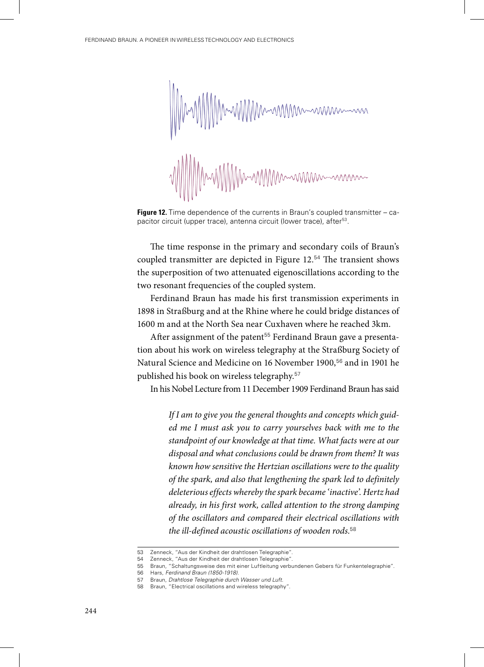

**Figure 12.** Time dependence of the currents in Braun's coupled transmitter – capacitor circuit (upper trace), antenna circuit (lower trace), after<sup>53</sup>.

The time response in the primary and secondary coils of Braun's coupled transmitter are depicted in Figure 12.<sup>54</sup> The transient shows the superposition of two attenuated eigenoscillations according to the two resonant frequencies of the coupled system.

Ferdinand Braun has made his first transmission experiments in 1898 in Straßburg and at the Rhine where he could bridge distances of 1600 m and at the North Sea near Cuxhaven where he reached 3km.

After assignment of the patent<sup>55</sup> Ferdinand Braun gave a presentation about his work on wireless telegraphy at the Straßburg Society of Natural Science and Medicine on 16 November 1900,<sup>56</sup> and in 1901 he published his book on wireless telegraphy.<sup>57</sup>

In his Nobel Lecture from 11 December 1909 Ferdinand Braun has said

*If I am to give you the general thoughts and concepts which guided me I must ask you to carry yourselves back with me to the standpoint of our knowledge at that time. What facts were at our disposal and what conclusions could be drawn from them? It was known how sensitive the Hertzian oscillations were to the quality of the spark, and also that lengthening the spark led to definitely deleterious effects whereby the spark became 'inactive'. Hertz had already, in his first work, called attention to the strong damping of the oscillators and compared their electrical oscillations with the ill-defined acoustic oscillations of wooden rods.*<sup>58</sup>

<sup>53</sup> Zenneck, "Aus der Kindheit der drahtlosen Telegraphie".

<sup>54</sup> Zenneck, "Aus der Kindheit der drahtlosen Telegraphie".

<sup>55</sup> Braun, "Schaltungsweise des mit einer Luftleitung verbundenen Gebers für Funkentelegraphie".

<sup>56</sup> Hars, *Ferdinand Braun (1850-1918)*.

<sup>57</sup> Braun, *Drahtlose Telegraphie durch Wasser und Luft*.

<sup>58</sup> Braun, "Electrical oscillations and wireless telegraphy".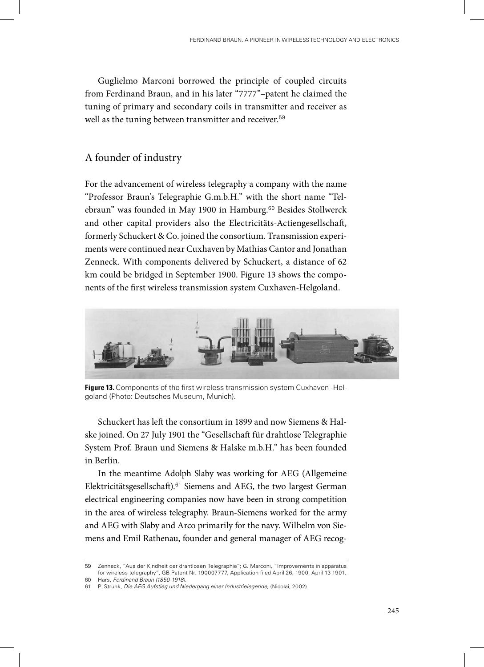Guglielmo Marconi borrowed the principle of coupled circuits from Ferdinand Braun, and in his later "7777"–patent he claimed the tuning of primary and secondary coils in transmitter and receiver as well as the tuning between transmitter and receiver.<sup>59</sup>

# A founder of industry

For the advancement of wireless telegraphy a company with the name "Professor Braun's Telegraphie G.m.b.H." with the short name "Telebraun" was founded in May 1900 in Hamburg.<sup>60</sup> Besides Stollwerck and other capital providers also the Electricitäts-Actiengesellschaft, formerly Schuckert & Co. joined the consortium. Transmission experiments were continued near Cuxhaven by Mathias Cantor and Jonathan Zenneck. With components delivered by Schuckert, a distance of 62 km could be bridged in September 1900. Figure 13 shows the components of the first wireless transmission system Cuxhaven-Helgoland.



**Figure 13.** Components of the first wireless transmission system Cuxhaven -Helgoland (Photo: Deutsches Museum, Munich).

Schuckert has left the consortium in 1899 and now Siemens & Halske joined. On 27 July 1901 the "Gesellschaft für drahtlose Telegraphie System Prof. Braun und Siemens & Halske m.b.H." has been founded in Berlin.

In the meantime Adolph Slaby was working for AEG (Allgemeine Elektricitätsgesellschaft).<sup>61</sup> Siemens and AEG, the two largest German electrical engineering companies now have been in strong competition in the area of wireless telegraphy. Braun-Siemens worked for the army and AEG with Slaby and Arco primarily for the navy. Wilhelm von Siemens and Emil Rathenau, founder and general manager of AEG recog-

<sup>59</sup> Zenneck, "Aus der Kindheit der drahtlosen Telegraphie"; G. Marconi, "Improvements in apparatus for wireless telegraphy", GB Patent Nr. 190007777, Application filed April 26, 1900, April 13 1901. 60 Hars, *Ferdinand Braun (1850-1918)*.

<sup>61</sup> P. Strunk, *Die AEG Aufstieg und Niedergang einer Industrielegende*, (Nicolai, 2002).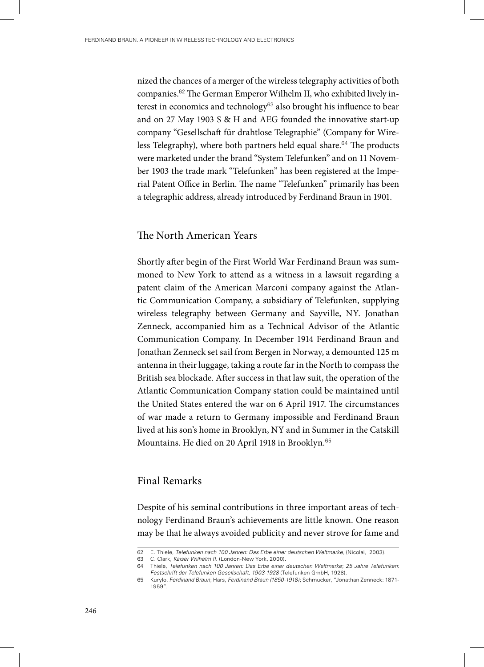nized the chances of a merger of the wireless telegraphy activities of both companies.62 The German Emperor Wilhelm II, who exhibited lively interest in economics and technology<sup>63</sup> also brought his influence to bear and on 27 May 1903 S & H and AEG founded the innovative start-up company "Gesellschaft für drahtlose Telegraphie" (Company for Wireless Telegraphy), where both partners held equal share.<sup>64</sup> The products were marketed under the brand "System Telefunken" and on 11 November 1903 the trade mark "Telefunken" has been registered at the Imperial Patent Office in Berlin. The name "Telefunken" primarily has been a telegraphic address, already introduced by Ferdinand Braun in 1901.

## The North American Years

Shortly after begin of the First World War Ferdinand Braun was summoned to New York to attend as a witness in a lawsuit regarding a patent claim of the American Marconi company against the Atlantic Communication Company, a subsidiary of Telefunken, supplying wireless telegraphy between Germany and Sayville, NY. Jonathan Zenneck, accompanied him as a Technical Advisor of the Atlantic Communication Company. In December 1914 Ferdinand Braun and Jonathan Zenneck set sail from Bergen in Norway, a demounted 125 m antenna in their luggage, taking a route far in the North to compass the British sea blockade. After success in that law suit, the operation of the Atlantic Communication Company station could be maintained until the United States entered the war on 6 April 1917. The circumstances of war made a return to Germany impossible and Ferdinand Braun lived at his son's home in Brooklyn, NY and in Summer in the Catskill Mountains. He died on 20 April 1918 in Brooklyn.<sup>65</sup>

#### Final Remarks

Despite of his seminal contributions in three important areas of technology Ferdinand Braun's achievements are little known. One reason may be that he always avoided publicity and never strove for fame and

<sup>62</sup> E. Thiele, *Telefunken nach 100 Jahren: Das Erbe einer deutschen Weltmarke*, (Nicolai, 2003).

<sup>63</sup> C. Clark, *Kaiser Wilhelm II.* (London-New York, 2000).

<sup>64</sup> Thiele, *Telefunken nach 100 Jahren: Das Erbe einer deutschen Weltmarke*; *25 Jahre Telefunken: Festschrift der Telefunken Gesellschaft, 1903-1928* (Telefunken GmbH, 1928).

<sup>65</sup> Kurylo, *Ferdinand Braun*; Hars, *Ferdinand Braun (1850-1918)*; Schmucker, "Jonathan Zenneck: 1871- 1959".